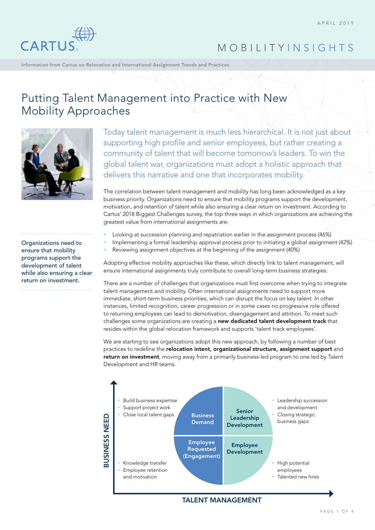

Information from Cartus on Relocation and International Assignment Trends and Practices.

## Putting Talent Management into Practice with New Mobility Approaches



Today talent management is much less hierarchical. It is not just about supporting high profile and senior employees, but rather creating a community of talent that will become tomorrow's leaders. To win the global talent war, organizations must adopt a holistic approach that delivers this narrative and one that incorporates mobility.

The correlation between talent management and mobility has long been acknowledged as a key business priority. Organizations need to ensure that mobility programs support the development, motivation, and retention of talent while also ensuring a clear return on investment. According to Cartus' 2018 Biggest Challenges survey, the top three ways in which organizations are achieving the greatest value from international assignments are:

• Looking at succession planning and repatriation earlier in the assignment process (46%)

• Implementing a formal leadership approval process prior to initiating a global assignment (42%)

• Reviewing assignment objectives at the beginning of the assignment (40%)

Adopting effective mobility approaches like these, which directly link to talent management, will ensure international assignments truly contribute to overall long-term business strategies.

There are a number of challenges that organizations must first overcome when trying to integrate talent management and mobility. Often international assignments need to support more immediate, short-term business priorities, which can disrupt the focus on key talent. In other instances, limited recognition, career progression or in some cases no progressive role offered to returning employees can lead to demotivation, disengagement and attrition. To meet such challenges some organizations are creating a new dedicated talent development track that resides within the global relocation framework and supports 'talent track employees'.

We are starting to see organizations adopt this new approach, by following a number of best practices to redefine the relocation intent, organizational structure, assignment support and return on investment, moving away from a primarily business-led program to one led by Talent Development and HR teams.



TALENT MANAGEMENT

Organizations need to ensure that mobility programs support the development of talent while also ensuring a clear return on investment.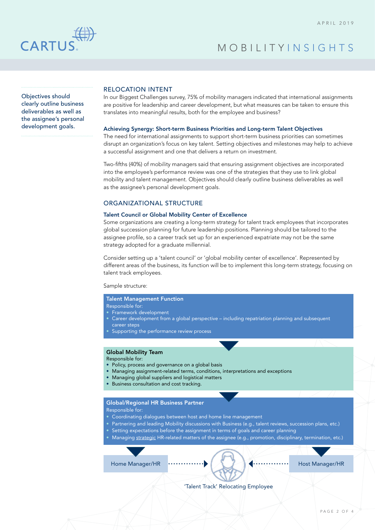

Objectives should clearly outline business deliverables as well as the assignee's personal development goals.

### RELOCATION INTENT

In our Biggest Challenges survey, 75% of mobility managers indicated that international assignments are positive for leadership and career development, but what measures can be taken to ensure this translates into meaningful results, both for the employee and business?

#### Achieving Synergy: Short-term Business Priorities and Long-term Talent Objectives

The need for international assignments to support short-term business priorities can sometimes disrupt an organization's focus on key talent. Setting objectives and milestones may help to achieve a successful assignment and one that delivers a return on investment.

Two-fifths (40%) of mobility managers said that ensuring assignment objectives are incorporated into the employee's performance review was one of the strategies that they use to link global mobility and talent management. Objectives should clearly outline business deliverables as well as the assignee's personal development goals.

### ORGANIZATIONAL STRUCTURE

### Talent Council or Global Mobility Center of Excellence

Some organizations are creating a long-term strategy for talent track employees that incorporates global succession planning for future leadership positions. Planning should be tailored to the assignee profile, so a career track set up for an experienced expatriate may not be the same strategy adopted for a graduate millennial.

Consider setting up a 'talent council' or 'global mobility center of excellence'. Represented by different areas of the business, its function will be to implement this long-term strategy, focusing on talent track employees.

### Sample structure:

### Talent Management Function

- Responsible for:
- Framework development
- Career development from a global perspective including repatriation planning and subsequent career steps
- Supporting the performance review process

#### Global Mobility Team

Responsible for:

- Policy, process and governance on a global basis
- Managing assignment-related terms, conditions, interpretations and exceptions
- Managing global suppliers and logistical matters
- Business consultation and cost tracking.

### Global/Regional HR Business Partner

Responsible for:

- Coordinating dialogues between host and home line management
- Partnering and leading Mobility discussions with Business (e.g., talent reviews, succession plans, etc.)
- Setting expectations before the assignment in terms of goals and career planning
- Managing strategic HR-related matters of the assignee (e.g., promotion, disciplinary, termination, etc.)

Home Manager/HR **Host Manager/HR** Host Manager/HR

'Talent Track' Relocating Employee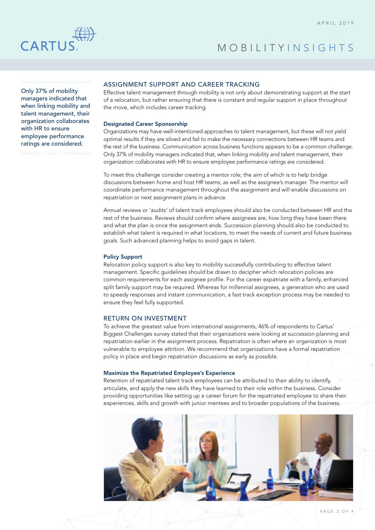

Only 37% of mobility managers indicated that when linking mobility and talent management, their organization collaborates with HR to ensure employee performance ratings are considered.

### ASSIGNMENT SUPPORT AND CAREER TRACKING

Effective talent management through mobility is not only about demonstrating support at the start of a relocation, but rather ensuring that there is constant and regular support in place throughout the move, which includes career tracking.

### Designated Career Sponsorship

Organizations may have well-intentioned approaches to talent management, but these will not yield optimal results if they are siloed and fail to make the necessary connections between HR teams and the rest of the business. Communication across business functions appears to be a common challenge. Only 37% of mobility managers indicated that, when linking mobility and talent management, their organization collaborates with HR to ensure employee performance ratings are considered.

To meet this challenge consider creating a mentor role; the aim of which is to help bridge discussions between home and host HR teams, as well as the assignee's manager. The mentor will coordinate performance management throughout the assignment and will enable discussions on repatriation or next assignment plans in advance.

Annual reviews or 'audits' of talent track employees should also be conducted between HR and the rest of the business. Reviews should confirm where assignees are, how long they have been there and what the plan is once the assignment ends. Succession planning should also be conducted to establish what talent is required in what locations, to meet the needs of current and future business goals. Such advanced planning helps to avoid gaps in talent.

### Policy Support

Relocation policy support is also key to mobility successfully contributing to effective talent management. Specific guidelines should be drawn to decipher which relocation policies are common requirements for each assignee profile. For the career expatriate with a family, enhanced split family support may be required. Whereas for millennial assignees, a generation who are used to speedy responses and instant communication, a fast track exception process may be needed to ensure they feel fully supported.

### RETURN ON INVESTMENT

To achieve the greatest value from international assignments, 46% of respondents to Cartus' Biggest Challenges survey stated that their organizations were looking at succession planning and repatriation earlier in the assignment process. Repatriation is often where an organization is most vulnerable to employee attrition. We recommend that organizations have a formal repatriation policy in place and begin repatriation discussions as early as possible.

### Maximize the Repatriated Employee's Experience

Retention of repatriated talent track employees can be attributed to their ability to identify, articulate, and apply the new skills they have learned to their role within the business. Consider providing opportunities like setting up a career forum for the repatriated employee to share their experiences, skills and growth with junior mentees and to broader populations of the business.